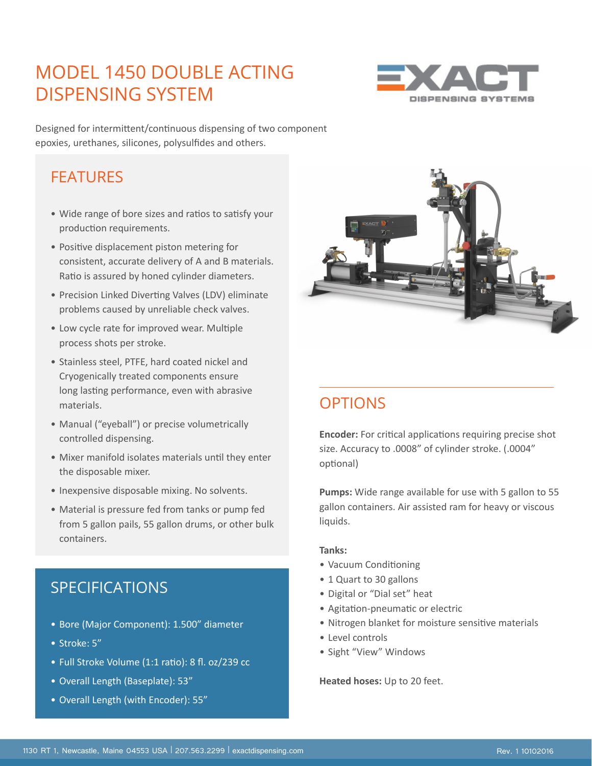# MODEL 1450 DOUBLE ACTING DISPENSING SYSTEM



Designed for intermittent/continuous dispensing of two component epoxies, urethanes, silicones, polysulfides and others.

### **FFATURES**

- Wide range of bore sizes and ratios to satisfy your production requirements.
- Positive displacement piston metering for consistent, accurate delivery of A and B materials. Ratio is assured by honed cylinder diameters.
- Precision Linked Diverting Valves (LDV) eliminate problems caused by unreliable check valves.
- Low cycle rate for improved wear. Multiple process shots per stroke.
- Stainless steel, PTFE, hard coated nickel and Cryogenically treated components ensure long lasting performance, even with abrasive materials.
- Manual ("eyeball") or precise volumetrically controlled dispensing.
- Mixer manifold isolates materials until they enter the disposable mixer.
- Inexpensive disposable mixing. No solvents.
- Material is pressure fed from tanks or pump fed from 5 gallon pails, 55 gallon drums, or other bulk containers.

### SPECIFICATIONS

- Bore (Major Component): 1.500" diameter
- Stroke: 5"
- Full Stroke Volume (1:1 ratio): 8 fl. oz/239 cc
- Overall Length (Baseplate): 53"
- Overall Length (with Encoder): 55"



## **OPTIONS**

**Encoder:** For critical applications requiring precise shot size. Accuracy to .0008" of cylinder stroke. (.0004" optional)

**Pumps:** Wide range available for use with 5 gallon to 55 gallon containers. Air assisted ram for heavy or viscous liquids.

#### **Tanks:**

- Vacuum Conditioning
- 1 Quart to 30 gallons
- Digital or "Dial set" heat
- Agitation-pneumatic or electric
- Nitrogen blanket for moisture sensitive materials
- Level controls
- Sight "View" Windows

**Heated hoses:** Up to 20 feet.